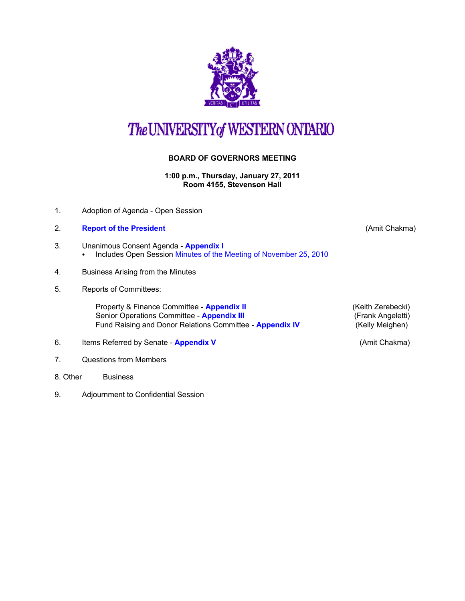

## The UNIVERSITY of WESTERN ONTARIO

## **BOARD OF GOVERNORS MEETING**

**1:00 p.m., Thursday, January 27, 2011 Room 4155, Stevenson Hall**

- 1. Adoption of Agenda Open Session
- 2. **[Report of the President](http://www.uwo.ca/univsec/board/minutes/2011/r1101ac.pdf)** (Amit Chakma)
- 3. Unanimous Consent Agenda **[Appendix I](http://www.uwo.ca/univsec/board/minutes/2011/r1101consent.pdf)** 
	- Includes Open Session [Minutes of the Meeting of November 25, 2010](http://www.uwo.ca/univsec/board/minutes/2011/m1011bg.pdf)
- 4. Business Arising from the Minutes
- 5. Reports of Committees:

Property & Finance Committee - **[Appendix II](http://www.uwo.ca/univsec/board/minutes/2011/r1101pf.pdf) Accord Accord Accord Accord Accord Accord Accord Accord Accord Accord Accord Accord Accord Accord Accord Accord Accord Accord Accord Accord Accord Accord Accord Accord Accord A** Senior Operations Committee - **[Appendix III](http://www.uwo.ca/univsec/board/minutes/2011/r1101srops.pdf)** (Frank Angeletti)<br>
Fund Raising and Donor Relations Committee - **Appendix IV** (Kelly Meighen) Fund Raising and Donor Relations Committee - **[Appendix IV](http://www.uwo.ca/univsec/board/minutes/2011/r1101frdr.pdf)** 

- 6. Items Referred by Senate **[Appendix V](http://www.uwo.ca/univsec/board/minutes/2011/r1101sen.pdf)** (Amit Chakma)
- 7. Questions from Members
- 8. Other Business
- 9. Adjournment to Confidential Session